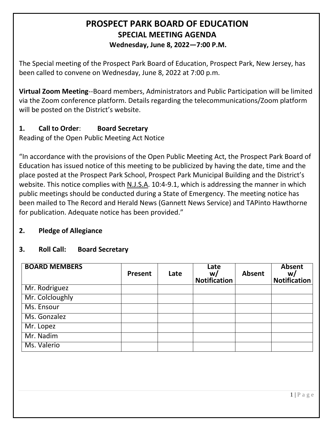# **PROSPECT PARK BOARD OF EDUCATION SPECIAL MEETING AGENDA Wednesday, June 8, 2022—7:00 P.M.**

The Special meeting of the Prospect Park Board of Education, Prospect Park, New Jersey, has been called to convene on Wednesday, June 8, 2022 at 7:00 p.m.

**Virtual Zoom Meeting**--Board members, Administrators and Public Participation will be limited via the Zoom conference platform. Details regarding the telecommunications/Zoom platform will be posted on the District's website.

# **1. Call to Order**: **Board Secretary**

Reading of the Open Public Meeting Act Notice

"In accordance with the provisions of the Open Public Meeting Act, the Prospect Park Board of Education has issued notice of this meeting to be publicized by having the date, time and the place posted at the Prospect Park School, Prospect Park Municipal Building and the District's website. This notice complies with N.J.S.A. 10:4-9.1, which is addressing the manner in which public meetings should be conducted during a State of Emergency. The meeting notice has been mailed to The Record and Herald News (Gannett News Service) and TAPinto Hawthorne for publication. Adequate notice has been provided."

# **2. Pledge of Allegiance**

### **3. Roll Call: Board Secretary**

| <b>BOARD MEMBERS</b> | <b>Present</b> | Late | Late<br>w/<br><b>Notification</b> | <b>Absent</b> | <b>Absent</b><br>w/<br><b>Notification</b> |
|----------------------|----------------|------|-----------------------------------|---------------|--------------------------------------------|
| Mr. Rodriguez        |                |      |                                   |               |                                            |
| Mr. Colcloughly      |                |      |                                   |               |                                            |
| Ms. Ensour           |                |      |                                   |               |                                            |
| Ms. Gonzalez         |                |      |                                   |               |                                            |
| Mr. Lopez            |                |      |                                   |               |                                            |
| Mr. Nadim            |                |      |                                   |               |                                            |
| Ms. Valerio          |                |      |                                   |               |                                            |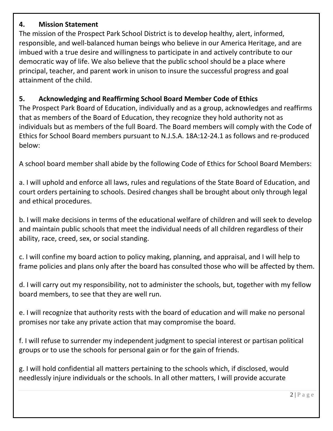# **4. Mission Statement**

The mission of the Prospect Park School District is to develop healthy, alert, informed, responsible, and well-balanced human beings who believe in our America Heritage, and are imbued with a true desire and willingness to participate in and actively contribute to our democratic way of life. We also believe that the public school should be a place where principal, teacher, and parent work in unison to insure the successful progress and goal attainment of the child.

## **5. Acknowledging and Reaffirming School Board Member Code of Ethics**

The Prospect Park Board of Education, individually and as a group, acknowledges and reaffirms that as members of the Board of Education, they recognize they hold authority not as individuals but as members of the full Board. The Board members will comply with the Code of Ethics for School Board members pursuant to N.J.S.A. 18A:12-24.1 as follows and re-produced below:

A school board member shall abide by the following Code of Ethics for School Board Members:

a. I will uphold and enforce all laws, rules and regulations of the State Board of Education, and court orders pertaining to schools. Desired changes shall be brought about only through legal and ethical procedures.

b. I will make decisions in terms of the educational welfare of children and will seek to develop and maintain public schools that meet the individual needs of all children regardless of their ability, race, creed, sex, or social standing.

c. I will confine my board action to policy making, planning, and appraisal, and I will help to frame policies and plans only after the board has consulted those who will be affected by them.

d. I will carry out my responsibility, not to administer the schools, but, together with my fellow board members, to see that they are well run.

e. I will recognize that authority rests with the board of education and will make no personal promises nor take any private action that may compromise the board.

f. I will refuse to surrender my independent judgment to special interest or partisan political groups or to use the schools for personal gain or for the gain of friends.

g. I will hold confidential all matters pertaining to the schools which, if disclosed, would needlessly injure individuals or the schools. In all other matters, I will provide accurate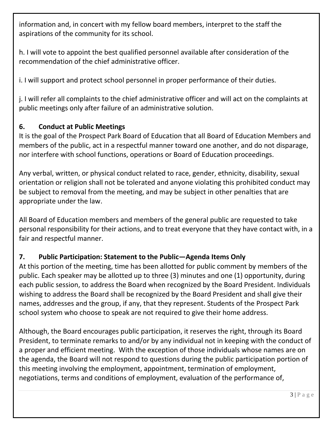information and, in concert with my fellow board members, interpret to the staff the aspirations of the community for its school.

h. I will vote to appoint the best qualified personnel available after consideration of the recommendation of the chief administrative officer.

i. I will support and protect school personnel in proper performance of their duties.

j. I will refer all complaints to the chief administrative officer and will act on the complaints at public meetings only after failure of an administrative solution.

# **6. Conduct at Public Meetings**

It is the goal of the Prospect Park Board of Education that all Board of Education Members and members of the public, act in a respectful manner toward one another, and do not disparage, nor interfere with school functions, operations or Board of Education proceedings.

Any verbal, written, or physical conduct related to race, gender, ethnicity, disability, sexual orientation or religion shall not be tolerated and anyone violating this prohibited conduct may be subject to removal from the meeting, and may be subject in other penalties that are appropriate under the law.

All Board of Education members and members of the general public are requested to take personal responsibility for their actions, and to treat everyone that they have contact with, in a fair and respectful manner.

# **7. Public Participation: Statement to the Public—Agenda Items Only**

At this portion of the meeting, time has been allotted for public comment by members of the public. Each speaker may be allotted up to three (3) minutes and one (1) opportunity, during each public session, to address the Board when recognized by the Board President. Individuals wishing to address the Board shall be recognized by the Board President and shall give their names, addresses and the group, if any, that they represent. Students of the Prospect Park school system who choose to speak are not required to give their home address.

Although, the Board encourages public participation, it reserves the right, through its Board President, to terminate remarks to and/or by any individual not in keeping with the conduct of a proper and efficient meeting. With the exception of those individuals whose names are on the agenda, the Board will not respond to questions during the public participation portion of this meeting involving the employment, appointment, termination of employment, negotiations, terms and conditions of employment, evaluation of the performance of,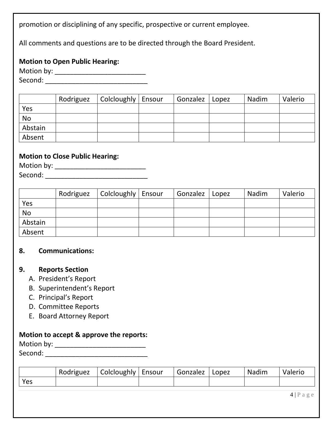promotion or disciplining of any specific, prospective or current employee.

All comments and questions are to be directed through the Board President.

## **Motion to Open Public Hearing:**

Motion by: \_\_\_\_\_\_\_\_\_\_\_\_\_\_\_\_\_\_\_\_\_\_\_\_ Second: \_\_\_\_\_\_\_\_\_\_\_\_\_\_\_\_\_\_\_\_\_\_\_\_\_\_\_

|           | Rodriguez | Colcloughly   Ensour | Gonzalez   Lopez | Nadim | Valerio |
|-----------|-----------|----------------------|------------------|-------|---------|
| Yes       |           |                      |                  |       |         |
| <b>No</b> |           |                      |                  |       |         |
| Abstain   |           |                      |                  |       |         |
| Absent    |           |                      |                  |       |         |

### **Motion to Close Public Hearing:**

| Motion by: |  |
|------------|--|
| Second:    |  |

|           | Rodriguez | Colcloughly | Ensour | Gonzalez | Lopez | Nadim | Valerio |
|-----------|-----------|-------------|--------|----------|-------|-------|---------|
| Yes       |           |             |        |          |       |       |         |
| <b>No</b> |           |             |        |          |       |       |         |
| Abstain   |           |             |        |          |       |       |         |
| Absent    |           |             |        |          |       |       |         |

#### **8. Communications:**

#### **9. Reports Section**

- A. President's Report
- B. Superintendent's Report
- C. Principal's Report
- D. Committee Reports
- E. Board Attorney Report

### **Motion to accept & approve the reports:**

| Motion by: |  |
|------------|--|
| Second:    |  |

|     | Rodriguez | Colcloughly   Ensour | Gonzalez | Lopez | Nadim | Valerio              |
|-----|-----------|----------------------|----------|-------|-------|----------------------|
| Yes |           |                      |          |       |       |                      |
|     |           |                      |          |       |       | $4 P \text{ a } g e$ |
|     |           |                      |          |       |       |                      |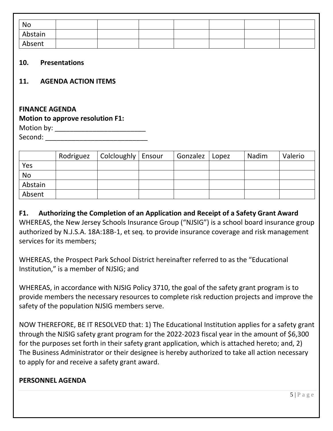| No      |  |  |  |  |
|---------|--|--|--|--|
| Abstain |  |  |  |  |
| Absent  |  |  |  |  |

#### **10. Presentations**

### **11. AGENDA ACTION ITEMS**

# **FINANCE AGENDA Motion to approve resolution F1:**

Motion by: \_\_\_\_\_\_\_\_\_\_\_\_\_\_\_\_\_\_\_\_\_\_\_\_

Second: \_\_\_\_\_\_\_\_\_\_\_\_\_\_\_\_\_\_\_\_\_\_\_\_\_\_\_

|           | Rodriguez | Colcloughly   Ensour | Gonzalez | Lopez | Nadim | Valerio |
|-----------|-----------|----------------------|----------|-------|-------|---------|
| Yes       |           |                      |          |       |       |         |
| <b>No</b> |           |                      |          |       |       |         |
| Abstain   |           |                      |          |       |       |         |
| Absent    |           |                      |          |       |       |         |

# **F1. Authorizing the Completion of an Application and Receipt of a Safety Grant Award**

WHEREAS, the New Jersey Schools Insurance Group ("NJSIG") is a school board insurance group authorized by N.J.S.A. 18A:18B-1, et seq. to provide insurance coverage and risk management services for its members;

WHEREAS, the Prospect Park School District hereinafter referred to as the "Educational Institution," is a member of NJSIG; and

WHEREAS, in accordance with NJSIG Policy 3710, the goal of the safety grant program is to provide members the necessary resources to complete risk reduction projects and improve the safety of the population NJSIG members serve.

NOW THEREFORE, BE IT RESOLVED that: 1) The Educational Institution applies for a safety grant through the NJSIG safety grant program for the 2022-2023 fiscal year in the amount of \$6,300 for the purposes set forth in their safety grant application, which is attached hereto; and, 2) The Business Administrator or their designee is hereby authorized to take all action necessary to apply for and receive a safety grant award.

#### **PERSONNEL AGENDA**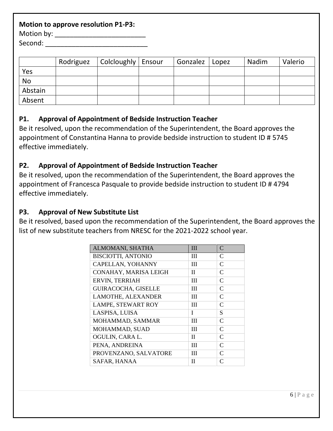#### **Motion to approve resolution P1-P3:**

Motion by: \_\_\_\_\_\_\_\_\_\_\_\_\_\_\_\_\_\_\_\_\_\_\_\_

Second: \_\_\_\_\_\_\_\_\_\_\_\_\_\_\_\_\_\_\_\_\_\_\_\_\_\_\_

|           | Rodriguez | Colcloughly   Ensour | Gonzalez | Lopez | Nadim | Valerio |
|-----------|-----------|----------------------|----------|-------|-------|---------|
| Yes       |           |                      |          |       |       |         |
| <b>No</b> |           |                      |          |       |       |         |
| Abstain   |           |                      |          |       |       |         |
| Absent    |           |                      |          |       |       |         |

### **P1. Approval of Appointment of Bedside Instruction Teacher**

Be it resolved, upon the recommendation of the Superintendent, the Board approves the appointment of Constantina Hanna to provide bedside instruction to student ID # 5745 effective immediately.

# **P2. Approval of Appointment of Bedside Instruction Teacher**

Be it resolved, upon the recommendation of the Superintendent, the Board approves the appointment of Francesca Pasquale to provide bedside instruction to student ID # 4794 effective immediately.

### **P3. Approval of New Substitute List**

Be it resolved, based upon the recommendation of the Superintendent, the Board approves the list of new substitute teachers from NRESC for the 2021-2022 school year.

| ALMOMANI, SHATHA           | $\mathbf{III}$ | C            |
|----------------------------|----------------|--------------|
| <b>BISCIOTTI, ANTONIO</b>  | Ш              | C            |
| CAPELLAN, YOHANNY          | Ш              | C            |
| CONAHAY, MARISA LEIGH      | П              | $\mathsf{C}$ |
| ERVIN, TERRIAH             | Ш              | C            |
| <b>GUIRACOCHA, GISELLE</b> | Ш              | C            |
| LAMOTHE, ALEXANDER         | Ш              | $\mathsf{C}$ |
| <b>LAMPE, STEWART ROY</b>  | Ш              | C            |
| LASPISA, LUISA             | T              | S            |
| MOHAMMAD, SAMMAR           | Ш              | C            |
| MOHAMMAD, SUAD             | Ш              | $\mathsf{C}$ |
| OGULIN, CARA L.            | H              | C            |
| PENA, ANDREINA             | Ш              | C            |
| PROVENZANO, SALVATORE      | Ш              | C            |
| SAFAR, HANAA               | Н              | $\subset$    |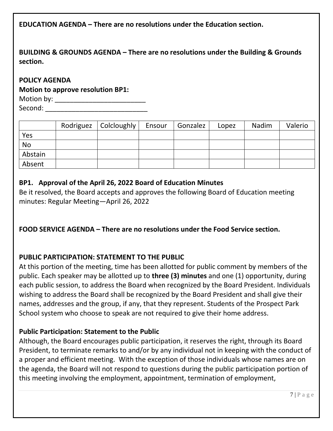### **EDUCATION AGENDA – There are no resolutions under the Education section.**

**BUILDING & GROUNDS AGENDA – There are no resolutions under the Building & Grounds section.**

### **POLICY AGENDA**

#### **Motion to approve resolution BP1:**

Motion by: \_\_\_\_\_\_\_\_\_\_\_\_\_\_\_\_\_\_\_\_\_\_\_\_ Second: \_\_\_\_\_\_\_\_\_\_\_\_\_\_\_\_\_\_\_\_\_\_\_\_\_\_\_

|           | Rodriguez   Colcloughly | Ensour | Gonzalez | Lopez | Nadim | Valerio |
|-----------|-------------------------|--------|----------|-------|-------|---------|
| Yes       |                         |        |          |       |       |         |
| <b>No</b> |                         |        |          |       |       |         |
| Abstain   |                         |        |          |       |       |         |
| Absent    |                         |        |          |       |       |         |

### **BP1. Approval of the April 26, 2022 Board of Education Minutes**

Be it resolved, the Board accepts and approves the following Board of Education meeting minutes: Regular Meeting—April 26, 2022

**FOOD SERVICE AGENDA – There are no resolutions under the Food Service section.**

### **PUBLIC PARTICIPATION: STATEMENT TO THE PUBLIC**

At this portion of the meeting, time has been allotted for public comment by members of the public. Each speaker may be allotted up to **three (3) minutes** and one (1) opportunity, during each public session, to address the Board when recognized by the Board President. Individuals wishing to address the Board shall be recognized by the Board President and shall give their names, addresses and the group, if any, that they represent. Students of the Prospect Park School system who choose to speak are not required to give their home address.

#### **Public Participation: Statement to the Public**

Although, the Board encourages public participation, it reserves the right, through its Board President, to terminate remarks to and/or by any individual not in keeping with the conduct of a proper and efficient meeting. With the exception of those individuals whose names are on the agenda, the Board will not respond to questions during the public participation portion of this meeting involving the employment, appointment, termination of employment,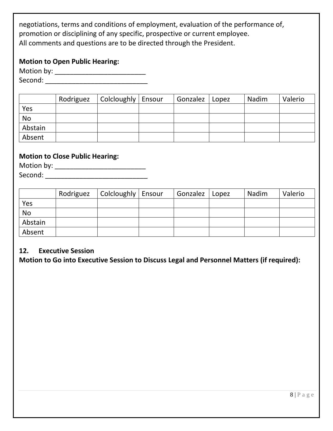negotiations, terms and conditions of employment, evaluation of the performance of, promotion or disciplining of any specific, prospective or current employee. All comments and questions are to be directed through the President.

### **Motion to Open Public Hearing:**

| Motion by: |  |
|------------|--|
| Second:    |  |

|           | Rodriguez | Colcloughly   Ensour | Gonzalez | Lopez | Nadim | Valerio |
|-----------|-----------|----------------------|----------|-------|-------|---------|
| Yes       |           |                      |          |       |       |         |
| <b>No</b> |           |                      |          |       |       |         |
| Abstain   |           |                      |          |       |       |         |
| Absent    |           |                      |          |       |       |         |

# **Motion to Close Public Hearing:**

Motion by: \_\_\_\_\_\_\_\_\_\_\_\_\_\_\_\_\_\_\_\_\_\_\_\_ Second: \_\_\_\_\_\_\_\_\_\_\_\_\_\_\_\_\_\_\_\_\_\_\_\_\_\_\_

|           | Rodriguez | Colcloughly   Ensour | Gonzalez | Lopez | Nadim | Valerio |
|-----------|-----------|----------------------|----------|-------|-------|---------|
| Yes       |           |                      |          |       |       |         |
| <b>No</b> |           |                      |          |       |       |         |
| Abstain   |           |                      |          |       |       |         |
| Absent    |           |                      |          |       |       |         |

#### **12. Executive Session**

**Motion to Go into Executive Session to Discuss Legal and Personnel Matters (if required):**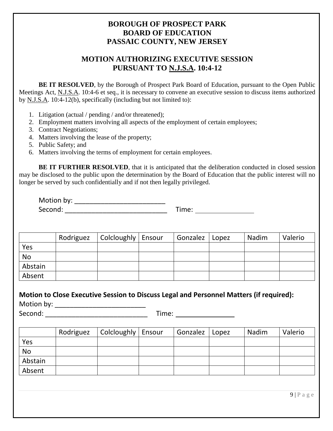## **BOROUGH OF PROSPECT PARK BOARD OF EDUCATION PASSAIC COUNTY, NEW JERSEY**

# **MOTION AUTHORIZING EXECUTIVE SESSION PURSUANT TO N.J.S.A. 10:4-12**

**BE IT RESOLVED**, by the Borough of Prospect Park Board of Education, pursuant to the Open Public Meetings Act, N.J.S.A. 10:4-6 et seq., it is necessary to convene an executive session to discuss items authorized by N.J.S.A. 10:4-12(b), specifically (including but not limited to):

- 1. Litigation (actual / pending / and/or threatened);
- 2. Employment matters involving all aspects of the employment of certain employees;
- 3. Contract Negotiations;
- 4. Matters involving the lease of the property;
- 5. Public Safety; and
- 6. Matters involving the terms of employment for certain employees.

**BE IT FURTHER RESOLVED**, that it is anticipated that the deliberation conducted in closed session may be disclosed to the public upon the determination by the Board of Education that the public interest will no longer be served by such confidentially and if not then legally privileged.

Motion by: \_\_\_\_\_\_\_\_\_\_\_\_\_\_\_\_\_\_\_\_\_\_\_\_\_\_\_\_\_\_\_ Second: \_\_\_\_\_\_\_\_\_\_\_\_\_\_\_\_\_\_\_\_\_\_\_\_\_\_\_ Time:

|           | Rodriguez | Colcloughly   Ensour | Gonzalez | Lopez | Nadim | Valerio |
|-----------|-----------|----------------------|----------|-------|-------|---------|
| Yes       |           |                      |          |       |       |         |
| <b>No</b> |           |                      |          |       |       |         |
| Abstain   |           |                      |          |       |       |         |
| Absent    |           |                      |          |       |       |         |

# **Motion to Close Executive Session to Discuss Legal and Personnel Matters (if required):** Motion by: \_\_\_\_\_\_\_\_\_\_\_\_\_\_\_\_\_\_\_\_\_\_\_\_

Second: \_\_\_\_\_\_\_\_\_\_\_\_\_\_\_\_\_\_\_\_\_\_\_\_\_\_\_ Time:

|           | Rodriguez | Colcloughly   Ensour | Gonzalez   Lopez | Nadim | Valerio |
|-----------|-----------|----------------------|------------------|-------|---------|
| Yes       |           |                      |                  |       |         |
| <b>No</b> |           |                      |                  |       |         |
| Abstain   |           |                      |                  |       |         |
| Absent    |           |                      |                  |       |         |